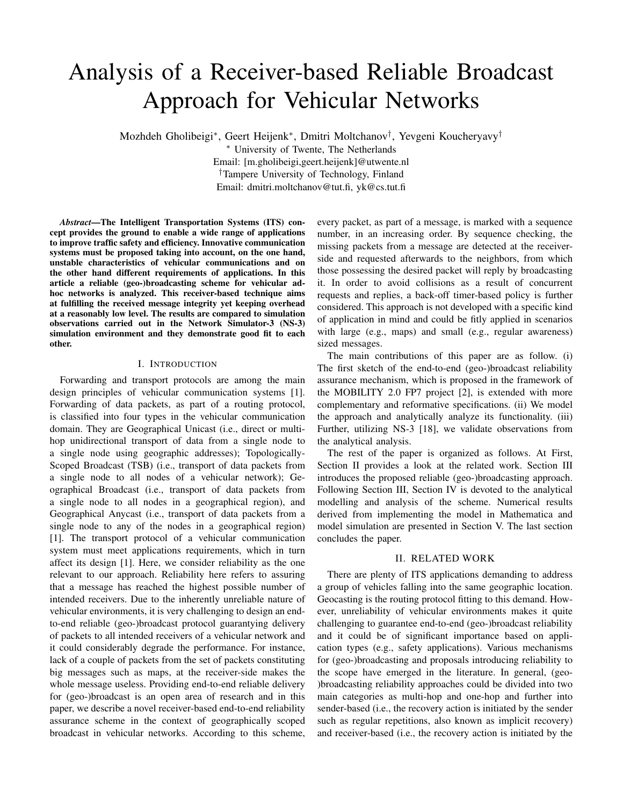# Analysis of a Receiver-based Reliable Broadcast Approach for Vehicular Networks

Mozhdeh Gholibeigi<sup>∗</sup> , Geert Heijenk<sup>∗</sup> , Dmitri Moltchanov† , Yevgeni Koucheryavy†

<sup>∗</sup> University of Twente, The Netherlands Email: [m.gholibeigi,geert.heijenk]@utwente.nl †Tampere University of Technology, Finland Email: dmitri.moltchanov@tut.fi, yk@cs.tut.fi

*Abstract*—The Intelligent Transportation Systems (ITS) concept provides the ground to enable a wide range of applications to improve traffic safety and efficiency. Innovative communication systems must be proposed taking into account, on the one hand, unstable characteristics of vehicular communications and on the other hand different requirements of applications. In this article a reliable (geo-)broadcasting scheme for vehicular adhoc networks is analyzed. This receiver-based technique aims at fulfilling the received message integrity yet keeping overhead at a reasonably low level. The results are compared to simulation observations carried out in the Network Simulator-3 (NS-3) simulation environment and they demonstrate good fit to each other.

# I. INTRODUCTION

Forwarding and transport protocols are among the main design principles of vehicular communication systems [1]. Forwarding of data packets, as part of a routing protocol, is classified into four types in the vehicular communication domain. They are Geographical Unicast (i.e., direct or multihop unidirectional transport of data from a single node to a single node using geographic addresses); Topologically-Scoped Broadcast (TSB) (i.e., transport of data packets from a single node to all nodes of a vehicular network); Geographical Broadcast (i.e., transport of data packets from a single node to all nodes in a geographical region), and Geographical Anycast (i.e., transport of data packets from a single node to any of the nodes in a geographical region) [1]. The transport protocol of a vehicular communication system must meet applications requirements, which in turn affect its design [1]. Here, we consider reliability as the one relevant to our approach. Reliability here refers to assuring that a message has reached the highest possible number of intended receivers. Due to the inherently unreliable nature of vehicular environments, it is very challenging to design an endto-end reliable (geo-)broadcast protocol guarantying delivery of packets to all intended receivers of a vehicular network and it could considerably degrade the performance. For instance, lack of a couple of packets from the set of packets constituting big messages such as maps, at the receiver-side makes the whole message useless. Providing end-to-end reliable delivery for (geo-)broadcast is an open area of research and in this paper, we describe a novel receiver-based end-to-end reliability assurance scheme in the context of geographically scoped broadcast in vehicular networks. According to this scheme,

every packet, as part of a message, is marked with a sequence number, in an increasing order. By sequence checking, the missing packets from a message are detected at the receiverside and requested afterwards to the neighbors, from which those possessing the desired packet will reply by broadcasting it. In order to avoid collisions as a result of concurrent requests and replies, a back-off timer-based policy is further considered. This approach is not developed with a specific kind of application in mind and could be fitly applied in scenarios with large (e.g., maps) and small (e.g., regular awareness) sized messages.

The main contributions of this paper are as follow. (i) The first sketch of the end-to-end (geo-)broadcast reliability assurance mechanism, which is proposed in the framework of the MOBILITY 2.0 FP7 project [2], is extended with more complementary and reformative specifications. (ii) We model the approach and analytically analyze its functionality. (iii) Further, utilizing NS-3 [18], we validate observations from the analytical analysis.

The rest of the paper is organized as follows. At First, Section II provides a look at the related work. Section III introduces the proposed reliable (geo-)broadcasting approach. Following Section III, Section IV is devoted to the analytical modelling and analysis of the scheme. Numerical results derived from implementing the model in Mathematica and model simulation are presented in Section V. The last section concludes the paper.

## II. RELATED WORK

There are plenty of ITS applications demanding to address a group of vehicles falling into the same geographic location. Geocasting is the routing protocol fitting to this demand. However, unreliability of vehicular environments makes it quite challenging to guarantee end-to-end (geo-)broadcast reliability and it could be of significant importance based on application types (e.g., safety applications). Various mechanisms for (geo-)broadcasting and proposals introducing reliability to the scope have emerged in the literature. In general, (geo- )broadcasting reliability approaches could be divided into two main categories as multi-hop and one-hop and further into sender-based (i.e., the recovery action is initiated by the sender such as regular repetitions, also known as implicit recovery) and receiver-based (i.e., the recovery action is initiated by the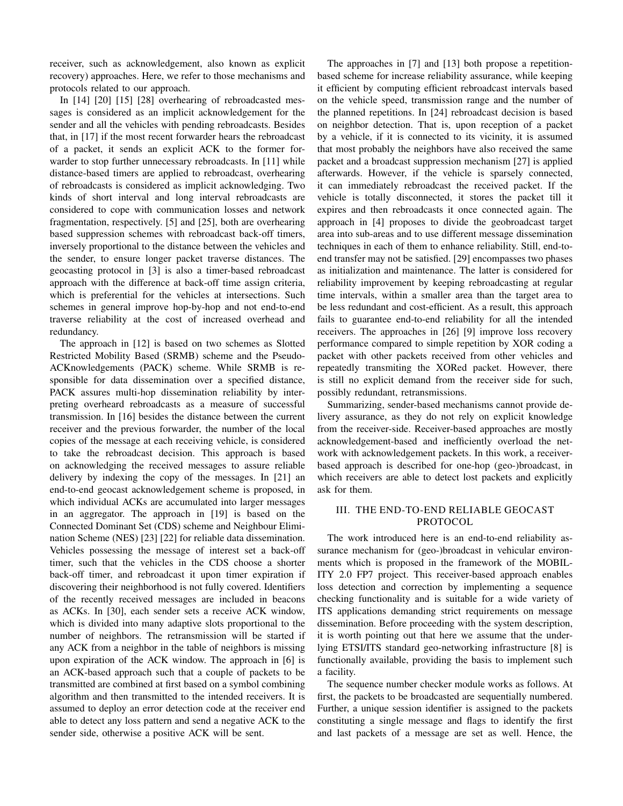receiver, such as acknowledgement, also known as explicit recovery) approaches. Here, we refer to those mechanisms and protocols related to our approach.

In [14] [20] [15] [28] overhearing of rebroadcasted messages is considered as an implicit acknowledgement for the sender and all the vehicles with pending rebroadcasts. Besides that, in [17] if the most recent forwarder hears the rebroadcast of a packet, it sends an explicit ACK to the former forwarder to stop further unnecessary rebroadcasts. In [11] while distance-based timers are applied to rebroadcast, overhearing of rebroadcasts is considered as implicit acknowledging. Two kinds of short interval and long interval rebroadcasts are considered to cope with communication losses and network fragmentation, respectively. [5] and [25], both are overhearing based suppression schemes with rebroadcast back-off timers, inversely proportional to the distance between the vehicles and the sender, to ensure longer packet traverse distances. The geocasting protocol in [3] is also a timer-based rebroadcast approach with the difference at back-off time assign criteria, which is preferential for the vehicles at intersections. Such schemes in general improve hop-by-hop and not end-to-end traverse reliability at the cost of increased overhead and redundancy.

The approach in [12] is based on two schemes as Slotted Restricted Mobility Based (SRMB) scheme and the Pseudo-ACKnowledgements (PACK) scheme. While SRMB is responsible for data dissemination over a specified distance, PACK assures multi-hop dissemination reliability by interpreting overheard rebroadcasts as a measure of successful transmission. In [16] besides the distance between the current receiver and the previous forwarder, the number of the local copies of the message at each receiving vehicle, is considered to take the rebroadcast decision. This approach is based on acknowledging the received messages to assure reliable delivery by indexing the copy of the messages. In [21] an end-to-end geocast acknowledgement scheme is proposed, in which individual ACKs are accumulated into larger messages in an aggregator. The approach in [19] is based on the Connected Dominant Set (CDS) scheme and Neighbour Elimination Scheme (NES) [23] [22] for reliable data dissemination. Vehicles possessing the message of interest set a back-off timer, such that the vehicles in the CDS choose a shorter back-off timer, and rebroadcast it upon timer expiration if discovering their neighborhood is not fully covered. Identifiers of the recently received messages are included in beacons as ACKs. In [30], each sender sets a receive ACK window, which is divided into many adaptive slots proportional to the number of neighbors. The retransmission will be started if any ACK from a neighbor in the table of neighbors is missing upon expiration of the ACK window. The approach in [6] is an ACK-based approach such that a couple of packets to be transmitted are combined at first based on a symbol combining algorithm and then transmitted to the intended receivers. It is assumed to deploy an error detection code at the receiver end able to detect any loss pattern and send a negative ACK to the sender side, otherwise a positive ACK will be sent.

The approaches in [7] and [13] both propose a repetitionbased scheme for increase reliability assurance, while keeping it efficient by computing efficient rebroadcast intervals based on the vehicle speed, transmission range and the number of the planned repetitions. In [24] rebroadcast decision is based on neighbor detection. That is, upon reception of a packet by a vehicle, if it is connected to its vicinity, it is assumed that most probably the neighbors have also received the same packet and a broadcast suppression mechanism [27] is applied afterwards. However, if the vehicle is sparsely connected, it can immediately rebroadcast the received packet. If the vehicle is totally disconnected, it stores the packet till it expires and then rebroadcasts it once connected again. The approach in [4] proposes to divide the geobroadcast target area into sub-areas and to use different message dissemination techniques in each of them to enhance reliability. Still, end-toend transfer may not be satisfied. [29] encompasses two phases as initialization and maintenance. The latter is considered for reliability improvement by keeping rebroadcasting at regular time intervals, within a smaller area than the target area to be less redundant and cost-efficient. As a result, this approach fails to guarantee end-to-end reliability for all the intended receivers. The approaches in [26] [9] improve loss recovery performance compared to simple repetition by XOR coding a packet with other packets received from other vehicles and repeatedly transmiting the XORed packet. However, there is still no explicit demand from the receiver side for such, possibly redundant, retransmissions.

Summarizing, sender-based mechanisms cannot provide delivery assurance, as they do not rely on explicit knowledge from the receiver-side. Receiver-based approaches are mostly acknowledgement-based and inefficiently overload the network with acknowledgement packets. In this work, a receiverbased approach is described for one-hop (geo-)broadcast, in which receivers are able to detect lost packets and explicitly ask for them.

# III. THE END-TO-END RELIABLE GEOCAST PROTOCOL

The work introduced here is an end-to-end reliability assurance mechanism for (geo-)broadcast in vehicular environments which is proposed in the framework of the MOBIL-ITY 2.0 FP7 project. This receiver-based approach enables loss detection and correction by implementing a sequence checking functionality and is suitable for a wide variety of ITS applications demanding strict requirements on message dissemination. Before proceeding with the system description, it is worth pointing out that here we assume that the underlying ETSI/ITS standard geo-networking infrastructure [8] is functionally available, providing the basis to implement such a facility.

The sequence number checker module works as follows. At first, the packets to be broadcasted are sequentially numbered. Further, a unique session identifier is assigned to the packets constituting a single message and flags to identify the first and last packets of a message are set as well. Hence, the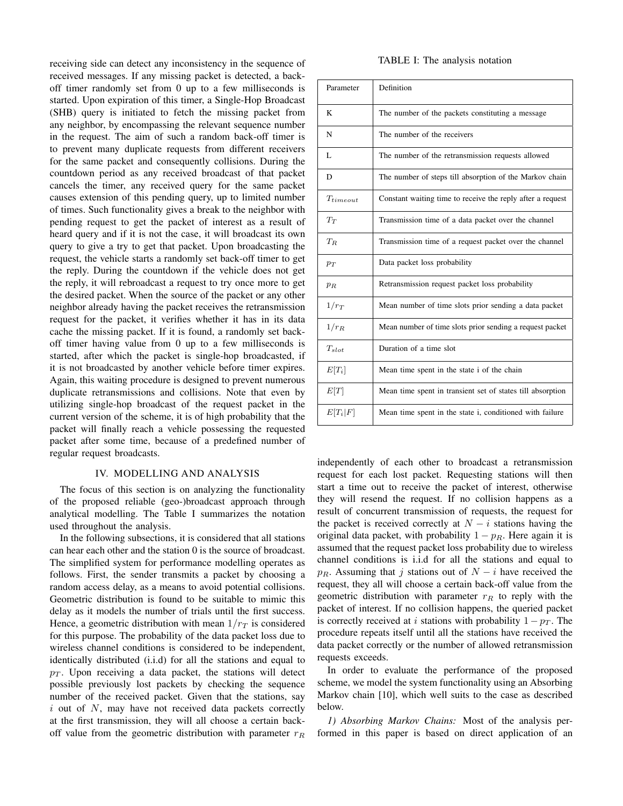receiving side can detect any inconsistency in the sequence of received messages. If any missing packet is detected, a backoff timer randomly set from 0 up to a few milliseconds is started. Upon expiration of this timer, a Single-Hop Broadcast (SHB) query is initiated to fetch the missing packet from any neighbor, by encompassing the relevant sequence number in the request. The aim of such a random back-off timer is to prevent many duplicate requests from different receivers for the same packet and consequently collisions. During the countdown period as any received broadcast of that packet cancels the timer, any received query for the same packet causes extension of this pending query, up to limited number of times. Such functionality gives a break to the neighbor with pending request to get the packet of interest as a result of heard query and if it is not the case, it will broadcast its own query to give a try to get that packet. Upon broadcasting the request, the vehicle starts a randomly set back-off timer to get the reply. During the countdown if the vehicle does not get the reply, it will rebroadcast a request to try once more to get the desired packet. When the source of the packet or any other neighbor already having the packet receives the retransmission request for the packet, it verifies whether it has in its data cache the missing packet. If it is found, a randomly set backoff timer having value from 0 up to a few milliseconds is started, after which the packet is single-hop broadcasted, if it is not broadcasted by another vehicle before timer expires. Again, this waiting procedure is designed to prevent numerous duplicate retransmissions and collisions. Note that even by utilizing single-hop broadcast of the request packet in the current version of the scheme, it is of high probability that the packet will finally reach a vehicle possessing the requested packet after some time, because of a predefined number of regular request broadcasts.

## IV. MODELLING AND ANALYSIS

The focus of this section is on analyzing the functionality of the proposed reliable (geo-)broadcast approach through analytical modelling. The Table I summarizes the notation used throughout the analysis.

In the following subsections, it is considered that all stations can hear each other and the station 0 is the source of broadcast. The simplified system for performance modelling operates as follows. First, the sender transmits a packet by choosing a random access delay, as a means to avoid potential collisions. Geometric distribution is found to be suitable to mimic this delay as it models the number of trials until the first success. Hence, a geometric distribution with mean  $1/r<sub>T</sub>$  is considered for this purpose. The probability of the data packet loss due to wireless channel conditions is considered to be independent, identically distributed (i.i.d) for all the stations and equal to  $p_T$ . Upon receiving a data packet, the stations will detect possible previously lost packets by checking the sequence number of the received packet. Given that the stations, say  $i$  out of N, may have not received data packets correctly at the first transmission, they will all choose a certain backoff value from the geometric distribution with parameter  $r_R$ 

#### TABLE I: The analysis notation

| Parameter     | Definition                                                 |
|---------------|------------------------------------------------------------|
| K             | The number of the packets constituting a message           |
| N             | The number of the receivers                                |
| L             | The number of the retransmission requests allowed          |
| D             | The number of steps till absorption of the Markov chain    |
| $T_{timeout}$ | Constant waiting time to receive the reply after a request |
| $T_T$         | Transmission time of a data packet over the channel        |
| $T_R$         | Transmission time of a request packet over the channel     |
| $p_T$         | Data packet loss probability                               |
| $p_R$         | Retransmission request packet loss probability             |
| $1/r_T$       | Mean number of time slots prior sending a data packet      |
| $1/r_R$       | Mean number of time slots prior sending a request packet   |
| $T_{slot}$    | Duration of a time slot                                    |
| $E[T_i]$      | Mean time spent in the state i of the chain                |
| E[T]          | Mean time spent in transient set of states till absorption |
| $E[T_i F]$    | Mean time spent in the state i, conditioned with failure   |

independently of each other to broadcast a retransmission request for each lost packet. Requesting stations will then start a time out to receive the packet of interest, otherwise they will resend the request. If no collision happens as a result of concurrent transmission of requests, the request for the packet is received correctly at  $N - i$  stations having the original data packet, with probability  $1 - p_R$ . Here again it is assumed that the request packet loss probability due to wireless channel conditions is i.i.d for all the stations and equal to  $p_R$ . Assuming that j stations out of  $N - i$  have received the request, they all will choose a certain back-off value from the geometric distribution with parameter  $r_R$  to reply with the packet of interest. If no collision happens, the queried packet is correctly received at i stations with probability  $1-p_T$ . The procedure repeats itself until all the stations have received the data packet correctly or the number of allowed retransmission requests exceeds.

In order to evaluate the performance of the proposed scheme, we model the system functionality using an Absorbing Markov chain [10], which well suits to the case as described below.

*1) Absorbing Markov Chains:* Most of the analysis performed in this paper is based on direct application of an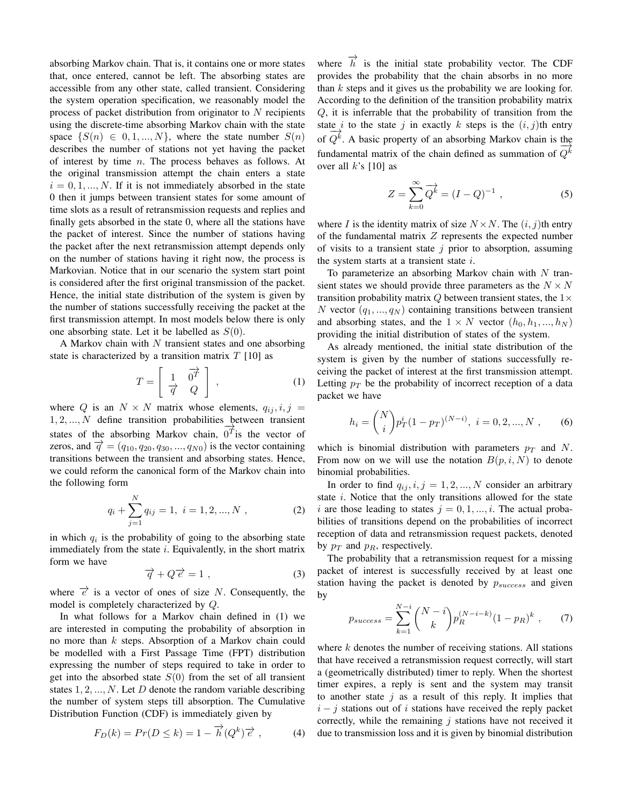absorbing Markov chain. That is, it contains one or more states that, once entered, cannot be left. The absorbing states are accessible from any other state, called transient. Considering the system operation specification, we reasonably model the process of packet distribution from originator to  $N$  recipients using the discrete-time absorbing Markov chain with the state space  $\{S(n) \in 0, 1, ..., N\}$ , where the state number  $S(n)$ describes the number of stations not yet having the packet of interest by time  $n$ . The process behaves as follows. At the original transmission attempt the chain enters a state  $i = 0, 1, ..., N$ . If it is not immediately absorbed in the state 0 then it jumps between transient states for some amount of time slots as a result of retransmission requests and replies and finally gets absorbed in the state 0, where all the stations have the packet of interest. Since the number of stations having the packet after the next retransmission attempt depends only on the number of stations having it right now, the process is Markovian. Notice that in our scenario the system start point is considered after the first original transmission of the packet. Hence, the initial state distribution of the system is given by the number of stations successfully receiving the packet at the first transmission attempt. In most models below there is only one absorbing state. Let it be labelled as  $S(0)$ .

A Markov chain with  $N$  transient states and one absorbing state is characterized by a transition matrix  $T$  [10] as

$$
T = \left[ \begin{array}{cc} 1 & \overrightarrow{0}^T \\ \overrightarrow{q} & Q \end{array} \right] , \qquad (1)
$$

where Q is an  $N \times N$  matrix whose elements,  $q_{ij}, i, j =$  $1, 2, ..., N$  define transition probabilities between transient states of the absorbing Markov chain, −→  $0<sup>T</sup>$  is the vector of zeros, and  $\overrightarrow{q} = (q_{10}, q_{20}, q_{30}, ..., q_{N0})$  is the vector containing transitions between the transient and absorbing states. Hence, we could reform the canonical form of the Markov chain into the following form

$$
q_i + \sum_{j=1}^{N} q_{ij} = 1, \ i = 1, 2, ..., N \t{, \t(2)}
$$

in which  $q_i$  is the probability of going to the absorbing state immediately from the state  $i$ . Equivalently, in the short matrix form we have

$$
\overrightarrow{q} + Q \overrightarrow{e} = 1 , \qquad (3)
$$

where  $\vec{e}$  is a vector of ones of size N. Consequently, the model is completely characterized by Q.

In what follows for a Markov chain defined in (1) we are interested in computing the probability of absorption in no more than k steps. Absorption of a Markov chain could be modelled with a First Passage Time (FPT) distribution expressing the number of steps required to take in order to get into the absorbed state  $S(0)$  from the set of all transient states  $1, 2, ..., N$ . Let D denote the random variable describing the number of system steps till absorption. The Cumulative Distribution Function (CDF) is immediately given by

$$
F_D(k) = Pr(D \le k) = 1 - \overrightarrow{h}(Q^k) \overrightarrow{e} , \qquad (4)
$$

where  $\overrightarrow{h}$  is the initial state probability vector. The CDF provides the probability that the chain absorbs in no more than  $k$  steps and it gives us the probability we are looking for. According to the definition of the transition probability matrix Q, it is inferrable that the probability of transition from the state i to the state j in exactly k steps is the  $(i, j)$ th entry of  $Q^k$ . A basic property of an absorbing Markov chain is the fundamental matrix of the chain defined as summation of  $\frac{\text{Im}\zeta}{Q^k}$ over all  $k$ 's [10] as

$$
Z = \sum_{k=0}^{\infty} \overrightarrow{Q^k} = (I - Q)^{-1} \tag{5}
$$

where I is the identity matrix of size  $N \times N$ . The  $(i, j)$ th entry of the fundamental matrix Z represents the expected number of visits to a transient state  $j$  prior to absorption, assuming the system starts at a transient state  $i$ .

To parameterize an absorbing Markov chain with  $N$  transient states we should provide three parameters as the  $N \times N$ transition probability matrix Q between transient states, the  $1 \times$ N vector  $(q_1, ..., q_N)$  containing transitions between transient and absorbing states, and the  $1 \times N$  vector  $(h_0, h_1, ..., h_N)$ providing the initial distribution of states of the system.

As already mentioned, the initial state distribution of the system is given by the number of stations successfully receiving the packet of interest at the first transmission attempt. Letting  $p_T$  be the probability of incorrect reception of a data packet we have

$$
h_i = {N \choose i} p_T^i (1 - p_T)^{(N-i)}, \ i = 0, 2, ..., N \ , \qquad (6)
$$

which is binomial distribution with parameters  $p_T$  and N. From now on we will use the notation  $B(p, i, N)$  to denote binomial probabilities.

In order to find  $q_{ij}$ ,  $i, j = 1, 2, ..., N$  consider an arbitrary state  $i$ . Notice that the only transitions allowed for the state i are those leading to states  $j = 0, 1, ..., i$ . The actual probabilities of transitions depend on the probabilities of incorrect reception of data and retransmission request packets, denoted by  $p_T$  and  $p_R$ , respectively.

The probability that a retransmission request for a missing packet of interest is successfully received by at least one station having the packet is denoted by  $p_{success}$  and given by

$$
p_{success} = \sum_{k=1}^{N-i} {N-i \choose k} p_R^{(N-i-k)} (1 - p_R)^k , \qquad (7)
$$

where  $k$  denotes the number of receiving stations. All stations that have received a retransmission request correctly, will start a (geometrically distributed) timer to reply. When the shortest timer expires, a reply is sent and the system may transit to another state  $j$  as a result of this reply. It implies that  $i - j$  stations out of i stations have received the reply packet correctly, while the remaining  $j$  stations have not received it due to transmission loss and it is given by binomial distribution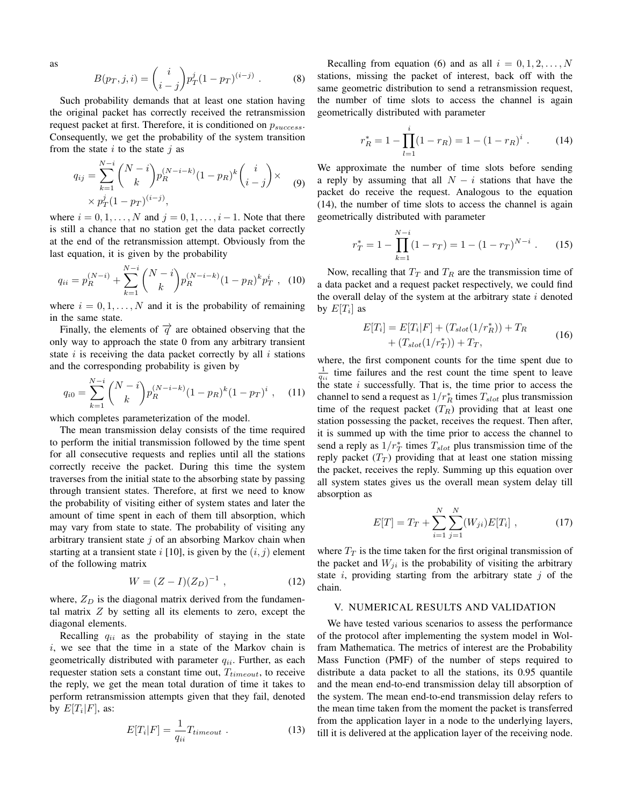as

$$
B(p_T, j, i) = {i \choose i-j} p_T^j (1 - p_T)^{(i-j)} .
$$
 (8)

Such probability demands that at least one station having the original packet has correctly received the retransmission request packet at first. Therefore, it is conditioned on  $p_{success}$ . Consequently, we get the probability of the system transition from the state  $i$  to the state  $j$  as

$$
q_{ij} = \sum_{k=1}^{N-i} {N-i \choose k} p_R^{(N-i-k)} (1-p_R)^k {i \choose i-j} \times \times p_T^j (1-p_T)^{(i-j)},
$$
\n(9)

where  $i = 0, 1, \ldots, N$  and  $j = 0, 1, \ldots, i - 1$ . Note that there is still a chance that no station get the data packet correctly at the end of the retransmission attempt. Obviously from the last equation, it is given by the probability

$$
q_{ii} = p_R^{(N-i)} + \sum_{k=1}^{N-i} \binom{N-i}{k} p_R^{(N-i-k)} (1 - p_R)^k p_T^i , \quad (10)
$$

where  $i = 0, 1, \ldots, N$  and it is the probability of remaining in the same state.

Finally, the elements of  $\overrightarrow{q}$  are obtained observing that the only way to approach the state 0 from any arbitrary transient state  $i$  is receiving the data packet correctly by all  $i$  stations and the corresponding probability is given by

$$
q_{i0} = \sum_{k=1}^{N-i} {N-i \choose k} p_R^{(N-i-k)} (1-p_R)^k (1-p_T)^i , \quad (11)
$$

which completes parameterization of the model.

The mean transmission delay consists of the time required to perform the initial transmission followed by the time spent for all consecutive requests and replies until all the stations correctly receive the packet. During this time the system traverses from the initial state to the absorbing state by passing through transient states. Therefore, at first we need to know the probability of visiting either of system states and later the amount of time spent in each of them till absorption, which may vary from state to state. The probability of visiting any arbitrary transient state  $j$  of an absorbing Markov chain when starting at a transient state  $i$  [10], is given by the  $(i, j)$  element of the following matrix

$$
W = (Z - I)(Z_D)^{-1} \t{, \t(12)}
$$

where,  $Z_D$  is the diagonal matrix derived from the fundamental matrix  $Z$  by setting all its elements to zero, except the diagonal elements.

Recalling  $q_{ii}$  as the probability of staying in the state  $i$ , we see that the time in a state of the Markov chain is geometrically distributed with parameter  $q_{ii}$ . Further, as each requester station sets a constant time out,  $T_{timeout}$ , to receive the reply, we get the mean total duration of time it takes to perform retransmission attempts given that they fail, denoted by  $E[T_i|F]$ , as:

$$
E[T_i|F] = \frac{1}{q_{ii}} T_{timeout} . \qquad (13)
$$

Recalling from equation (6) and as all  $i = 0, 1, 2, \ldots, N$ stations, missing the packet of interest, back off with the same geometric distribution to send a retransmission request, the number of time slots to access the channel is again geometrically distributed with parameter

$$
r_R^* = 1 - \prod_{l=1}^i (1 - r_R) = 1 - (1 - r_R)^i . \tag{14}
$$

We approximate the number of time slots before sending a reply by assuming that all  $N - i$  stations that have the packet do receive the request. Analogous to the equation (14), the number of time slots to access the channel is again geometrically distributed with parameter

$$
r_T^* = 1 - \prod_{k=1}^{N-i} (1 - r_T) = 1 - (1 - r_T)^{N-i} . \tag{15}
$$

Now, recalling that  $T_T$  and  $T_R$  are the transmission time of a data packet and a request packet respectively, we could find the overall delay of the system at the arbitrary state  $i$  denoted by  $E[T_i]$  as

$$
E[T_i] = E[T_i|F] + (T_{slot}(1/r_R^*)) + T_R
$$
  
+  $(T_{slot}(1/r_T^*)) + T_T,$  (16)

where, the first component counts for the time spent due to  $\frac{1}{q_{ii}}$  time failures and the rest count the time spent to leave the state  $i$  successfully. That is, the time prior to access the channel to send a request as  $1/r_R^*$  times  $T_{slot}$  plus transmission time of the request packet  $(T_R)$  providing that at least one station possessing the packet, receives the request. Then after, it is summed up with the time prior to access the channel to send a reply as  $1/r_T^*$  times  $T_{slot}$  plus transmission time of the reply packet  $(T_T)$  providing that at least one station missing the packet, receives the reply. Summing up this equation over all system states gives us the overall mean system delay till absorption as

$$
E[T] = T_T + \sum_{i=1}^{N} \sum_{j=1}^{N} (W_{ji}) E[T_i] , \qquad (17)
$$

where  $T_T$  is the time taken for the first original transmission of the packet and  $W_{ji}$  is the probability of visiting the arbitrary state  $i$ , providing starting from the arbitrary state  $j$  of the chain.

# V. NUMERICAL RESULTS AND VALIDATION

We have tested various scenarios to assess the performance of the protocol after implementing the system model in Wolfram Mathematica. The metrics of interest are the Probability Mass Function (PMF) of the number of steps required to distribute a data packet to all the stations, its 0.95 quantile and the mean end-to-end transmission delay till absorption of the system. The mean end-to-end transmission delay refers to the mean time taken from the moment the packet is transferred from the application layer in a node to the underlying layers, till it is delivered at the application layer of the receiving node.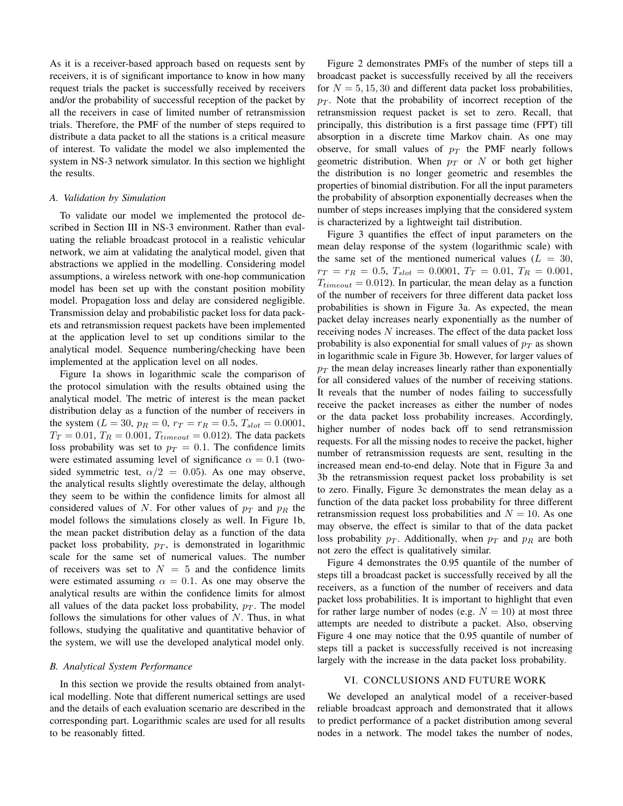As it is a receiver-based approach based on requests sent by receivers, it is of significant importance to know in how many request trials the packet is successfully received by receivers and/or the probability of successful reception of the packet by all the receivers in case of limited number of retransmission trials. Therefore, the PMF of the number of steps required to distribute a data packet to all the stations is a critical measure of interest. To validate the model we also implemented the system in NS-3 network simulator. In this section we highlight the results.

#### *A. Validation by Simulation*

To validate our model we implemented the protocol described in Section III in NS-3 environment. Rather than evaluating the reliable broadcast protocol in a realistic vehicular network, we aim at validating the analytical model, given that abstractions we applied in the modelling. Considering model assumptions, a wireless network with one-hop communication model has been set up with the constant position mobility model. Propagation loss and delay are considered negligible. Transmission delay and probabilistic packet loss for data packets and retransmission request packets have been implemented at the application level to set up conditions similar to the analytical model. Sequence numbering/checking have been implemented at the application level on all nodes.

Figure 1a shows in logarithmic scale the comparison of the protocol simulation with the results obtained using the analytical model. The metric of interest is the mean packet distribution delay as a function of the number of receivers in the system ( $L = 30$ ,  $p_R = 0$ ,  $r_T = r_R = 0.5$ ,  $T_{slot} = 0.0001$ ,  $T_T = 0.01, T_R = 0.001, T_{timeout} = 0.012$ ). The data packets loss probability was set to  $p_T = 0.1$ . The confidence limits were estimated assuming level of significance  $\alpha = 0.1$  (twosided symmetric test,  $\alpha/2 = 0.05$ ). As one may observe, the analytical results slightly overestimate the delay, although they seem to be within the confidence limits for almost all considered values of N. For other values of  $p_T$  and  $p_R$  the model follows the simulations closely as well. In Figure 1b, the mean packet distribution delay as a function of the data packet loss probability,  $p_T$ , is demonstrated in logarithmic scale for the same set of numerical values. The number of receivers was set to  $N = 5$  and the confidence limits were estimated assuming  $\alpha = 0.1$ . As one may observe the analytical results are within the confidence limits for almost all values of the data packet loss probability,  $p_T$ . The model follows the simulations for other values of  $N$ . Thus, in what follows, studying the qualitative and quantitative behavior of the system, we will use the developed analytical model only.

# *B. Analytical System Performance*

In this section we provide the results obtained from analytical modelling. Note that different numerical settings are used and the details of each evaluation scenario are described in the corresponding part. Logarithmic scales are used for all results to be reasonably fitted.

Figure 2 demonstrates PMFs of the number of steps till a broadcast packet is successfully received by all the receivers for  $N = 5, 15, 30$  and different data packet loss probabilities,  $p_T$ . Note that the probability of incorrect reception of the retransmission request packet is set to zero. Recall, that principally, this distribution is a first passage time (FPT) till absorption in a discrete time Markov chain. As one may observe, for small values of  $p_T$  the PMF nearly follows geometric distribution. When  $p_T$  or N or both get higher the distribution is no longer geometric and resembles the properties of binomial distribution. For all the input parameters the probability of absorption exponentially decreases when the number of steps increases implying that the considered system is characterized by a lightweight tail distribution.

Figure 3 quantifies the effect of input parameters on the mean delay response of the system (logarithmic scale) with the same set of the mentioned numerical values ( $L = 30$ ,  $r_T = r_R = 0.5$ ,  $T_{slot} = 0.0001$ ,  $T_T = 0.01$ ,  $T_R = 0.001$ ,  $T_{timeout} = 0.012$ . In particular, the mean delay as a function of the number of receivers for three different data packet loss probabilities is shown in Figure 3a. As expected, the mean packet delay increases nearly exponentially as the number of receiving nodes N increases. The effect of the data packet loss probability is also exponential for small values of  $p_T$  as shown in logarithmic scale in Figure 3b. However, for larger values of  $p_T$  the mean delay increases linearly rather than exponentially for all considered values of the number of receiving stations. It reveals that the number of nodes failing to successfully receive the packet increases as either the number of nodes or the data packet loss probability increases. Accordingly, higher number of nodes back off to send retransmission requests. For all the missing nodes to receive the packet, higher number of retransmission requests are sent, resulting in the increased mean end-to-end delay. Note that in Figure 3a and 3b the retransmission request packet loss probability is set to zero. Finally, Figure 3c demonstrates the mean delay as a function of the data packet loss probability for three different retransmission request loss probabilities and  $N = 10$ . As one may observe, the effect is similar to that of the data packet loss probability  $p_T$ . Additionally, when  $p_T$  and  $p_R$  are both not zero the effect is qualitatively similar.

Figure 4 demonstrates the 0.95 quantile of the number of steps till a broadcast packet is successfully received by all the receivers, as a function of the number of receivers and data packet loss probabilities. It is important to highlight that even for rather large number of nodes (e.g.  $N = 10$ ) at most three attempts are needed to distribute a packet. Also, observing Figure 4 one may notice that the 0.95 quantile of number of steps till a packet is successfully received is not increasing largely with the increase in the data packet loss probability.

#### VI. CONCLUSIONS AND FUTURE WORK

We developed an analytical model of a receiver-based reliable broadcast approach and demonstrated that it allows to predict performance of a packet distribution among several nodes in a network. The model takes the number of nodes,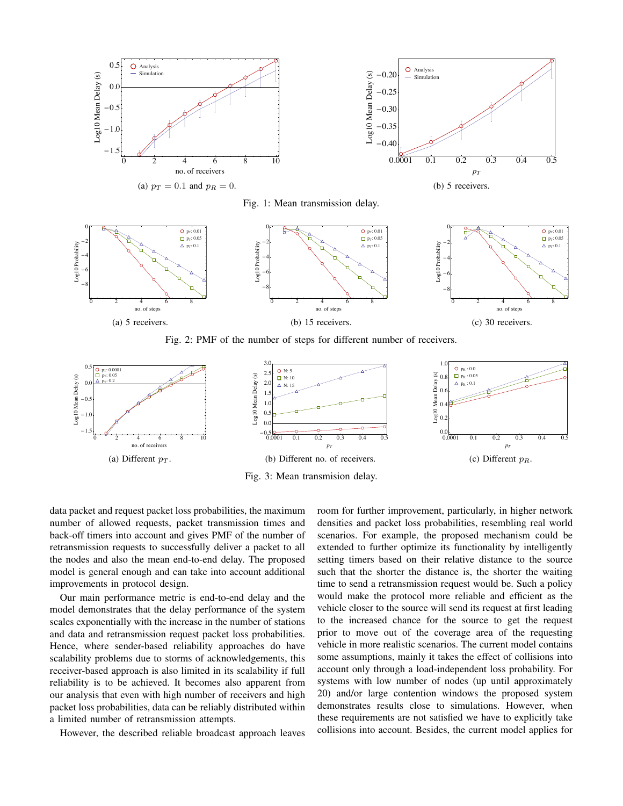

Fig. 1: Mean transmission delay.



Fig. 2: PMF of the number of steps for different number of receivers.



Fig. 3: Mean transmision delay.

data packet and request packet loss probabilities, the maximum number of allowed requests, packet transmission times and back-off timers into account and gives PMF of the number of retransmission requests to successfully deliver a packet to all the nodes and also the mean end-to-end delay. The proposed model is general enough and can take into account additional improvements in protocol design.

Our main performance metric is end-to-end delay and the model demonstrates that the delay performance of the system scales exponentially with the increase in the number of stations and data and retransmission request packet loss probabilities. Hence, where sender-based reliability approaches do have scalability problems due to storms of acknowledgements, this receiver-based approach is also limited in its scalability if full reliability is to be achieved. It becomes also apparent from our analysis that even with high number of receivers and high packet loss probabilities, data can be reliably distributed within a limited number of retransmission attempts.

However, the described reliable broadcast approach leaves

room for further improvement, particularly, in higher network densities and packet loss probabilities, resembling real world scenarios. For example, the proposed mechanism could be extended to further optimize its functionality by intelligently setting timers based on their relative distance to the source such that the shorter the distance is, the shorter the waiting time to send a retransmission request would be. Such a policy would make the protocol more reliable and efficient as the vehicle closer to the source will send its request at first leading to the increased chance for the source to get the request prior to move out of the coverage area of the requesting vehicle in more realistic scenarios. The current model contains some assumptions, mainly it takes the effect of collisions into account only through a load-independent loss probability. For systems with low number of nodes (up until approximately 20) and/or large contention windows the proposed system demonstrates results close to simulations. However, when these requirements are not satisfied we have to explicitly take collisions into account. Besides, the current model applies for